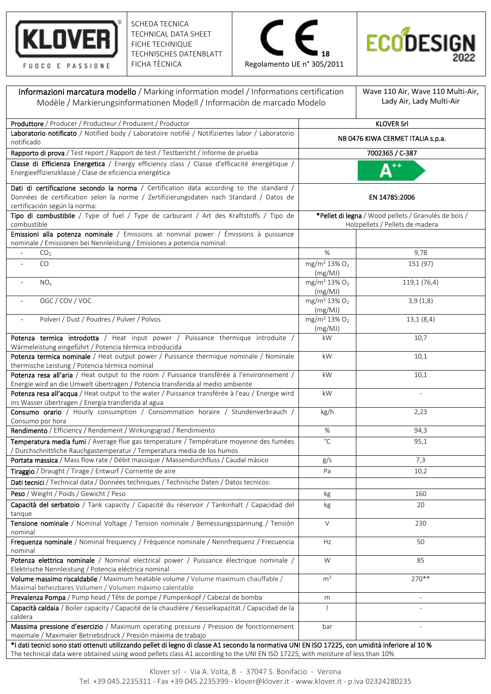

SCHEDA TECNICA TECHNICAL DATA SHEET FICHE TECHNIQUE TECHNISCHES DATENBLATT FICHA TÈCNICA





| Informazioni marcatura modello / Marking information model / Informations certification                                                                                                                                                                                             |                                                                                         | Wave 110 Air, Wave 110 Multi-Air, |  |
|-------------------------------------------------------------------------------------------------------------------------------------------------------------------------------------------------------------------------------------------------------------------------------------|-----------------------------------------------------------------------------------------|-----------------------------------|--|
| Modèle / Markierungsinformationen Modell / Informaciòn de marcado Modelo                                                                                                                                                                                                            |                                                                                         | Lady Air, Lady Multi-Air          |  |
| Produttore / Producer / Producteur / Produzent / Productor                                                                                                                                                                                                                          | <b>KLOVER Srl</b>                                                                       |                                   |  |
| Laboratorio notificato / Notified body / Laboratoire notifié / Notifiziertes labor / Laboratorio<br>notificado                                                                                                                                                                      | NB 0476 KIWA CERMET ITALIA s.p.a.                                                       |                                   |  |
| Rapporto di prova / Test report / Rapport de test / Testbericht / Informe de prueba                                                                                                                                                                                                 |                                                                                         | 7002365 / C-387                   |  |
| Classe di Efficienza Energetica / Energy efficiency class / Classe d'efficacité énergétique /<br>Energieeffizienzklasse / Clase de eficiencia energética                                                                                                                            |                                                                                         |                                   |  |
| Dati di certificazione secondo la norma / Certification data according to the standard /<br>Données de certification selon la norme / Zertifizierungsdaten nach Standard / Datos de                                                                                                 | EN 14785:2006                                                                           |                                   |  |
| certificación según la norma:                                                                                                                                                                                                                                                       |                                                                                         |                                   |  |
| Tipo di combustibile / Type of fuel / Type de carburant / Art des Kraftstoffs / Tipo de<br>combustible                                                                                                                                                                              | *Pellet di legna / Wood pellets / Granulés de bois /<br>Holzpellets / Pellets de madera |                                   |  |
| Emissioni alla potenza nominale / Emissions at nominal power / Émissions à puissance<br>nominale / Emissionen bei Nennleistung / Emisiones a potencia nominal:                                                                                                                      |                                                                                         |                                   |  |
| CO <sub>2</sub>                                                                                                                                                                                                                                                                     | %                                                                                       | 9,78                              |  |
| CO                                                                                                                                                                                                                                                                                  | mg/m <sup>3</sup> 13% O <sub>2</sub><br>(mg/MJ)                                         | 151 (97)                          |  |
| NO <sub>x</sub>                                                                                                                                                                                                                                                                     | mg/m <sup>3</sup> 13% O <sub>2</sub><br>(mg/MJ)                                         | 119,1 (76,4)                      |  |
| OGC / COV / VOC                                                                                                                                                                                                                                                                     | mg/m <sup>3</sup> 13% O <sub>2</sub><br>(mg/MJ)                                         | 3,9(1,8)                          |  |
| Polveri / Dust / Poudres / Pulver / Polvos<br>$\overline{\phantom{a}}$                                                                                                                                                                                                              | mg/m <sup>3</sup> 13% O <sub>2</sub><br>(mg/MJ)                                         | 13,1(8,4)                         |  |
| Potenza termica introdotta / Heat input power / Puissance thermique introduite /<br>Wärmeleistung eingeführt / Potencia térmica introducida                                                                                                                                         | kW                                                                                      | 10,7                              |  |
| Potenza termica nominale / Heat output power / Puissance thermique nominale / Nominale<br>thermische Leistung / Potencia térmica nominal                                                                                                                                            | kW                                                                                      | 10,1                              |  |
| Potenza resa all'aria / Heat output to the room / Puissance transférée à l'environnement /<br>Energie wird an die Umwelt übertragen / Potencia transferida al medio ambiente                                                                                                        | kW                                                                                      | 10,1                              |  |
| Potenza resa all'acqua / Heat output to the water / Puissance transférée à l'eau / Energie wird<br>ins Wasser übertragen / Energía transferida al agua                                                                                                                              | kW                                                                                      |                                   |  |
| Consumo orario / Hourly consumption / Consommation horaire / Stundenverbrauch /<br>Consumo por hora                                                                                                                                                                                 | kg/h                                                                                    | 2,23                              |  |
| Rendimento / Efficiency / Rendement / Wirkungsgrad / Rendimiento                                                                                                                                                                                                                    | %                                                                                       | 94,3                              |  |
| Temperatura media fumi / Average flue gas temperature / Température moyenne des fumées<br>/ Durchschnittliche Rauchgastemperatur / Temperatura media de los humos                                                                                                                   | $^{\circ}$ C                                                                            | 95,1                              |  |
| Portata massica / Mass flow rate / Débit massique / Massendurchfluss / Caudal másico                                                                                                                                                                                                | g/s                                                                                     | 7,3                               |  |
| Tiraggio / Draught / Tirage / Entwurf / Corriente de aire                                                                                                                                                                                                                           | Pa                                                                                      | 10,2                              |  |
| Dati tecnici / Technical data / Données techniques / Technische Daten / Datos tecnicos:                                                                                                                                                                                             |                                                                                         |                                   |  |
| Peso / Weight / Poids / Gewicht / Peso                                                                                                                                                                                                                                              | kg                                                                                      | 160                               |  |
| Capacità del serbatoio / Tank capacity / Capacité du réservoir / Tankinhalt / Capacidad del<br>tanque                                                                                                                                                                               | kg                                                                                      | 20                                |  |
| Tensione nominale / Nominal Voltage / Tension nominale / Bemessungsspannung / Tensión<br>nominal                                                                                                                                                                                    | $\vee$                                                                                  | 230                               |  |
| Frequenza nominale / Nominal frequency / Fréquence nominale / Nennfrequenz / Frecuencia<br>nominal                                                                                                                                                                                  | Hz                                                                                      | 50                                |  |
| Potenza elettrica nominale / Nominal electrical power / Puissance électrique nominale /<br>Elektrische Nennleistung / Potencia eléctrica nominal                                                                                                                                    | W                                                                                       | 85                                |  |
| Volume massimo riscaldabile / Maximum heatable volume / Volume maximum chauffable /<br>Maximal beheizbares Volumen / Volumen máximo calentable                                                                                                                                      | m <sup>3</sup>                                                                          | 270**                             |  |
| Prevalenza Pompa / Pump head / Tête de pompe / Pumpenkopf / Cabezal de bomba                                                                                                                                                                                                        | m                                                                                       |                                   |  |
| Capacità caldaia / Boiler capacity / Capacité de la chaudière / Kesselkapazität / Capacidad de la                                                                                                                                                                                   |                                                                                         |                                   |  |
| caldera<br>Massima pressione d'esercizio / Maximum operating pressure / Pression de fonctionnement<br>maximale / Maximaler Betriebsdruck / Presión máxima de trabajo                                                                                                                | bar                                                                                     |                                   |  |
| *I dati tecnici sono stati ottenuti utilizzando pellet di legno di classe A1 secondo la normativa UNI EN ISO 17225, con umidità inferiore al 10 %<br>The technical data were obtained using wood pellets class A1 according to the UNI EN ISO 17225, with moisture of less than 10% |                                                                                         |                                   |  |